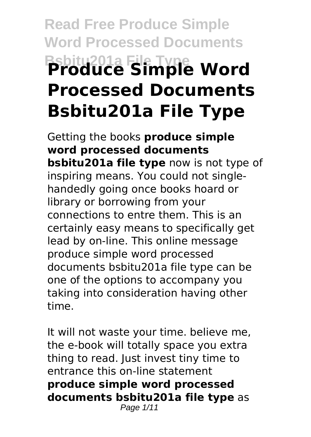# **Read Free Produce Simple Word Processed Documents Bsbitu201a File Type Produce Simple Word Processed Documents Bsbitu201a File Type**

Getting the books **produce simple word processed documents bsbitu201a file type** now is not type of inspiring means. You could not singlehandedly going once books hoard or library or borrowing from your connections to entre them. This is an certainly easy means to specifically get lead by on-line. This online message produce simple word processed documents bsbitu201a file type can be one of the options to accompany you taking into consideration having other time.

It will not waste your time. believe me, the e-book will totally space you extra thing to read. Just invest tiny time to entrance this on-line statement **produce simple word processed documents bsbitu201a file type** as Page 1/11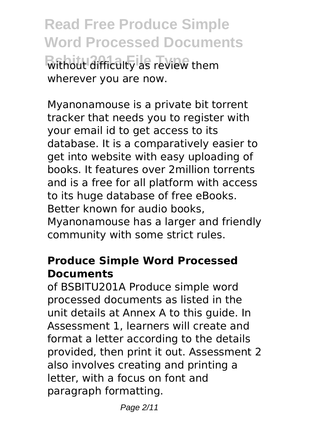**Read Free Produce Simple Word Processed Documents Without difficulty as review them** wherever you are now.

Myanonamouse is a private bit torrent tracker that needs you to register with your email id to get access to its database. It is a comparatively easier to get into website with easy uploading of books. It features over 2million torrents and is a free for all platform with access to its huge database of free eBooks. Better known for audio books, Myanonamouse has a larger and friendly community with some strict rules.

## **Produce Simple Word Processed Documents**

of BSBITU201A Produce simple word processed documents as listed in the unit details at Annex A to this guide. In Assessment 1, learners will create and format a letter according to the details provided, then print it out. Assessment 2 also involves creating and printing a letter, with a focus on font and paragraph formatting.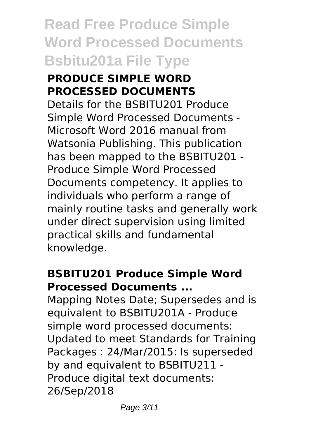### **PRODUCE SIMPLE WORD PROCESSED DOCUMENTS**

Details for the BSBITU201 Produce Simple Word Processed Documents - Microsoft Word 2016 manual from Watsonia Publishing. This publication has been mapped to the BSBITU201 - Produce Simple Word Processed Documents competency. It applies to individuals who perform a range of mainly routine tasks and generally work under direct supervision using limited practical skills and fundamental knowledge.

### **BSBITU201 Produce Simple Word Processed Documents ...**

Mapping Notes Date; Supersedes and is equivalent to BSBITU201A - Produce simple word processed documents: Updated to meet Standards for Training Packages : 24/Mar/2015: Is superseded by and equivalent to BSBITU211 - Produce digital text documents: 26/Sep/2018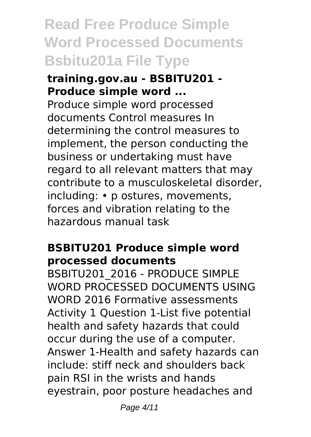#### **training.gov.au - BSBITU201 - Produce simple word ...**

Produce simple word processed documents Control measures In determining the control measures to implement, the person conducting the business or undertaking must have regard to all relevant matters that may contribute to a musculoskeletal disorder, including: • p ostures, movements, forces and vibration relating to the hazardous manual task

# **BSBITU201 Produce simple word processed documents**

BSBITU201\_2016 - PRODUCE SIMPLE WORD PROCESSED DOCUMENTS USING WORD 2016 Formative assessments Activity 1 Question 1-List five potential health and safety hazards that could occur during the use of a computer. Answer 1-Health and safety hazards can include: stiff neck and shoulders back pain RSI in the wrists and hands eyestrain, poor posture headaches and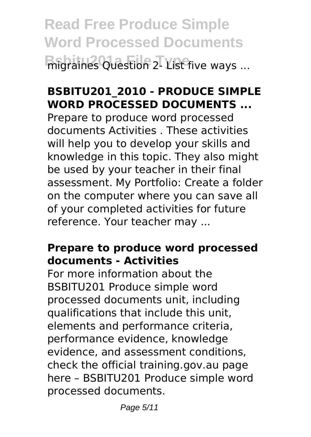**Read Free Produce Simple Word Processed Documents Base of the Subsetion 2- List five ways ...** 

# **BSBITU201\_2010 - PRODUCE SIMPLE WORD PROCESSED DOCUMENTS ...**

Prepare to produce word processed documents Activities . These activities will help you to develop your skills and knowledge in this topic. They also might be used by your teacher in their final assessment. My Portfolio: Create a folder on the computer where you can save all of your completed activities for future reference. Your teacher may ...

# **Prepare to produce word processed documents - Activities**

For more information about the BSBITU201 Produce simple word processed documents unit, including qualifications that include this unit, elements and performance criteria, performance evidence, knowledge evidence, and assessment conditions, check the official training.gov.au page here – BSBITU201 Produce simple word processed documents.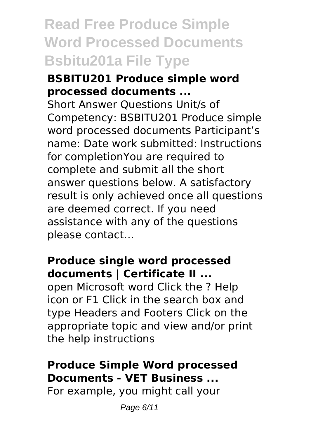### **BSBITU201 Produce simple word processed documents ...**

Short Answer Questions Unit/s of Competency: BSBITU201 Produce simple word processed documents Participant's name: Date work submitted: Instructions for completionYou are required to complete and submit all the short answer questions below. A satisfactory result is only achieved once all questions are deemed correct. If you need assistance with any of the questions please contact…

### **Produce single word processed documents | Certificate II ...**

open Microsoft word Click the ? Help icon or F1 Click in the search box and type Headers and Footers Click on the appropriate topic and view and/or print the help instructions

# **Produce Simple Word processed Documents - VET Business ...**

For example, you might call your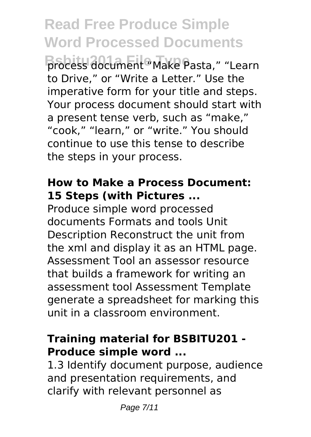# **Read Free Produce Simple Word Processed Documents**

**Brocess document "Make Pasta," "Learn** to Drive," or "Write a Letter." Use the imperative form for your title and steps. Your process document should start with a present tense verb, such as "make," "cook," "learn," or "write." You should continue to use this tense to describe the steps in your process.

# **How to Make a Process Document: 15 Steps (with Pictures ...**

Produce simple word processed documents Formats and tools Unit Description Reconstruct the unit from the xml and display it as an HTML page. Assessment Tool an assessor resource that builds a framework for writing an assessment tool Assessment Template generate a spreadsheet for marking this unit in a classroom environment.

# **Training material for BSBITU201 - Produce simple word ...**

1.3 Identify document purpose, audience and presentation requirements, and clarify with relevant personnel as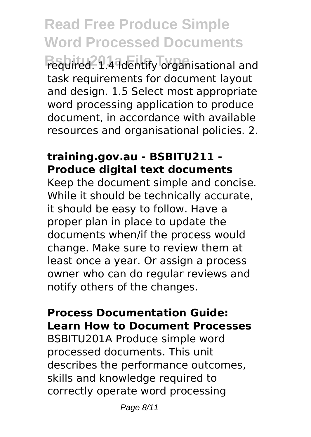# **Read Free Produce Simple Word Processed Documents**

**Bequired. 1.4 Identify organisational and** task requirements for document layout and design. 1.5 Select most appropriate word processing application to produce document, in accordance with available resources and organisational policies. 2.

### **training.gov.au - BSBITU211 - Produce digital text documents**

Keep the document simple and concise. While it should be technically accurate, it should be easy to follow. Have a proper plan in place to update the documents when/if the process would change. Make sure to review them at least once a year. Or assign a process owner who can do regular reviews and notify others of the changes.

#### **Process Documentation Guide: Learn How to Document Processes**

BSBITU201A Produce simple word processed documents. This unit describes the performance outcomes, skills and knowledge required to correctly operate word processing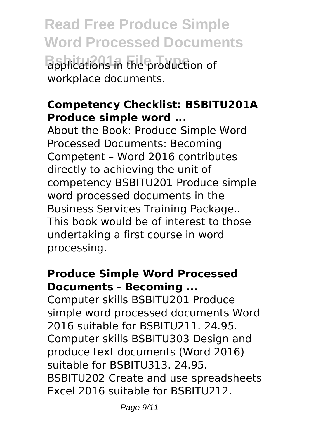**Read Free Produce Simple Word Processed Documents B**applications in the production of workplace documents.

# **Competency Checklist: BSBITU201A Produce simple word ...**

About the Book: Produce Simple Word Processed Documents: Becoming Competent – Word 2016 contributes directly to achieving the unit of competency BSBITU201 Produce simple word processed documents in the Business Services Training Package.. This book would be of interest to those undertaking a first course in word processing.

### **Produce Simple Word Processed Documents - Becoming ...**

Computer skills BSBITU201 Produce simple word processed documents Word 2016 suitable for BSBITU211. 24.95. Computer skills BSBITU303 Design and produce text documents (Word 2016) suitable for BSBITU313. 24.95. BSBITU202 Create and use spreadsheets Excel 2016 suitable for BSBITU212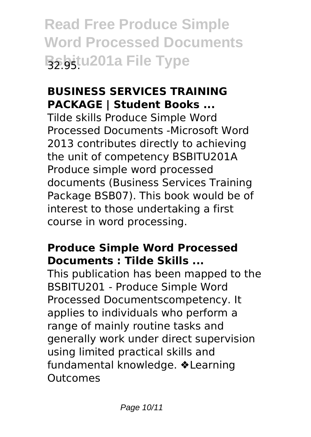# **BUSINESS SERVICES TRAINING PACKAGE | Student Books ...**

Tilde skills Produce Simple Word Processed Documents -Microsoft Word 2013 contributes directly to achieving the unit of competency BSBITU201A Produce simple word processed documents (Business Services Training Package BSB07). This book would be of interest to those undertaking a first course in word processing.

# **Produce Simple Word Processed Documents : Tilde Skills ...**

This publication has been mapped to the BSBITU201 - Produce Simple Word Processed Documentscompetency. It applies to individuals who perform a range of mainly routine tasks and generally work under direct supervision using limited practical skills and fundamental knowledge. ❖Learning Outcomes